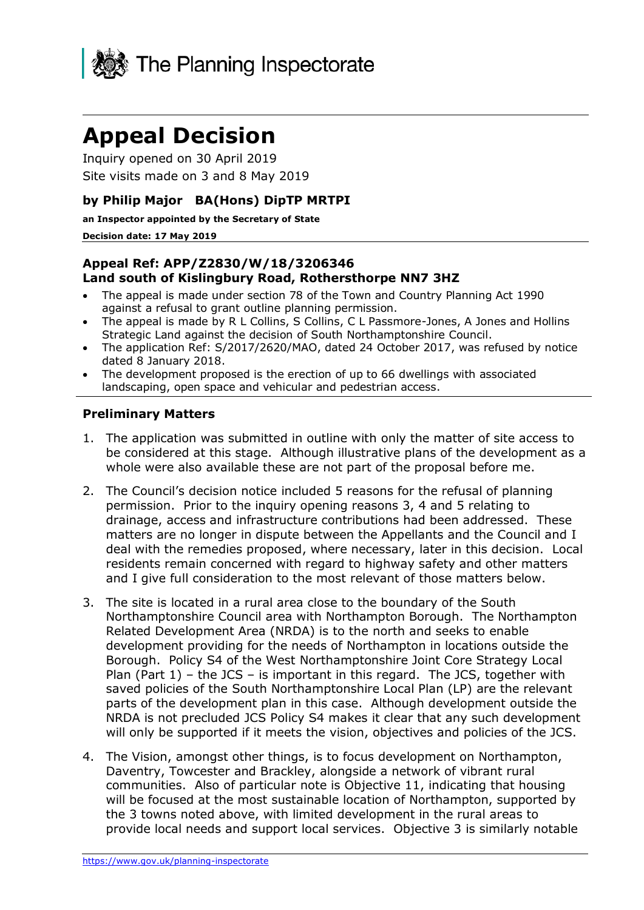

# **Appeal Decision**

Inquiry opened on 30 April 2019 Site visits made on 3 and 8 May 2019

## **by Philip Major BA(Hons) DipTP MRTPI**

**an Inspector appointed by the Secretary of State** 

#### **Decision date: 17 May 2019**

### **Appeal Ref: APP/Z2830/W/18/3206346 Land south of Kislingbury Road, Rothersthorpe NN7 3HZ**

- The appeal is made under section 78 of the Town and Country Planning Act 1990 against a refusal to grant outline planning permission.
- The appeal is made by R L Collins, S Collins, C L Passmore-Jones, A Jones and Hollins Strategic Land against the decision of South Northamptonshire Council.
- The application Ref: S/2017/2620/MAO, dated 24 October 2017, was refused by notice dated 8 January 2018.
- The development proposed is the erection of up to 66 dwellings with associated landscaping, open space and vehicular and pedestrian access.

## **Preliminary Matters**

- 1. The application was submitted in outline with only the matter of site access to be considered at this stage. Although illustrative plans of the development as a whole were also available these are not part of the proposal before me.
- 2. The Council's decision notice included 5 reasons for the refusal of planning permission. Prior to the inquiry opening reasons 3, 4 and 5 relating to drainage, access and infrastructure contributions had been addressed. These matters are no longer in dispute between the Appellants and the Council and I deal with the remedies proposed, where necessary, later in this decision. Local residents remain concerned with regard to highway safety and other matters and I give full consideration to the most relevant of those matters below.
- 3. The site is located in a rural area close to the boundary of the South Northamptonshire Council area with Northampton Borough. The Northampton Related Development Area (NRDA) is to the north and seeks to enable development providing for the needs of Northampton in locations outside the Borough. Policy S4 of the West Northamptonshire Joint Core Strategy Local Plan (Part 1) – the JCS – is important in this regard. The JCS, together with saved policies of the South Northamptonshire Local Plan (LP) are the relevant parts of the development plan in this case. Although development outside the NRDA is not precluded JCS Policy S4 makes it clear that any such development will only be supported if it meets the vision, objectives and policies of the JCS.
- 4. The Vision, amongst other things, is to focus development on Northampton, Daventry, Towcester and Brackley, alongside a network of vibrant rural communities. Also of particular note is Objective 11, indicating that housing will be focused at the most sustainable location of Northampton, supported by the 3 towns noted above, with limited development in the rural areas to provide local needs and support local services. Objective 3 is similarly notable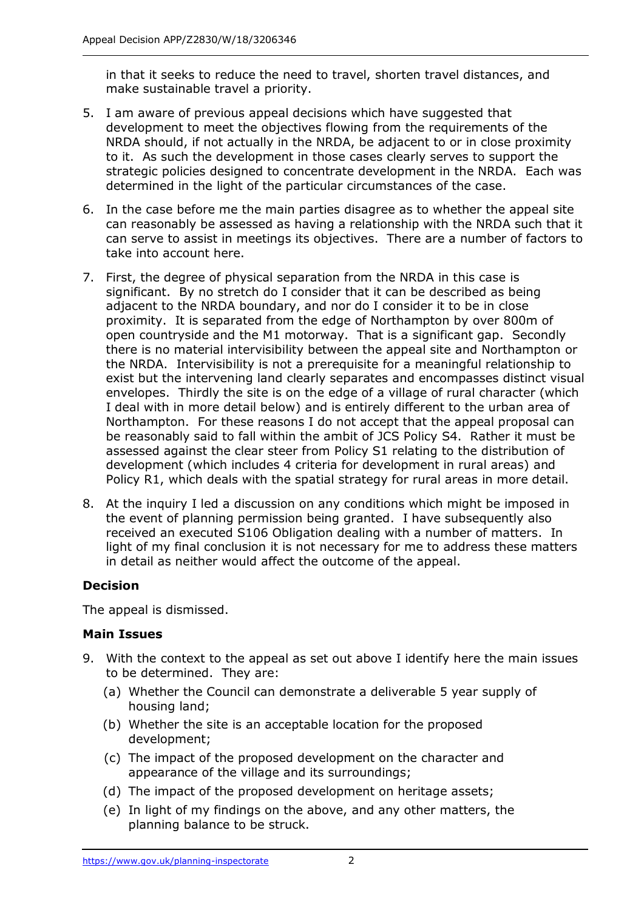in that it seeks to reduce the need to travel, shorten travel distances, and make sustainable travel a priority.

- 5. I am aware of previous appeal decisions which have suggested that development to meet the objectives flowing from the requirements of the NRDA should, if not actually in the NRDA, be adjacent to or in close proximity to it. As such the development in those cases clearly serves to support the strategic policies designed to concentrate development in the NRDA. Each was determined in the light of the particular circumstances of the case.
- 6. In the case before me the main parties disagree as to whether the appeal site can reasonably be assessed as having a relationship with the NRDA such that it can serve to assist in meetings its objectives. There are a number of factors to take into account here.
- 7. First, the degree of physical separation from the NRDA in this case is significant. By no stretch do I consider that it can be described as being adjacent to the NRDA boundary, and nor do I consider it to be in close proximity. It is separated from the edge of Northampton by over 800m of open countryside and the M1 motorway. That is a significant gap. Secondly there is no material intervisibility between the appeal site and Northampton or the NRDA. Intervisibility is not a prerequisite for a meaningful relationship to exist but the intervening land clearly separates and encompasses distinct visual envelopes. Thirdly the site is on the edge of a village of rural character (which I deal with in more detail below) and is entirely different to the urban area of Northampton. For these reasons I do not accept that the appeal proposal can be reasonably said to fall within the ambit of JCS Policy S4. Rather it must be assessed against the clear steer from Policy S1 relating to the distribution of development (which includes 4 criteria for development in rural areas) and Policy R1, which deals with the spatial strategy for rural areas in more detail.
- 8. At the inquiry I led a discussion on any conditions which might be imposed in the event of planning permission being granted. I have subsequently also received an executed S106 Obligation dealing with a number of matters. In light of my final conclusion it is not necessary for me to address these matters in detail as neither would affect the outcome of the appeal.

# **Decision**

The appeal is dismissed.

# **Main Issues**

- 9. With the context to the appeal as set out above I identify here the main issues to be determined. They are:
	- (a) Whether the Council can demonstrate a deliverable 5 year supply of housing land;
	- (b) Whether the site is an acceptable location for the proposed development;
	- (c) The impact of the proposed development on the character and appearance of the village and its surroundings;
	- (d) The impact of the proposed development on heritage assets;
	- (e) In light of my findings on the above, and any other matters, the planning balance to be struck.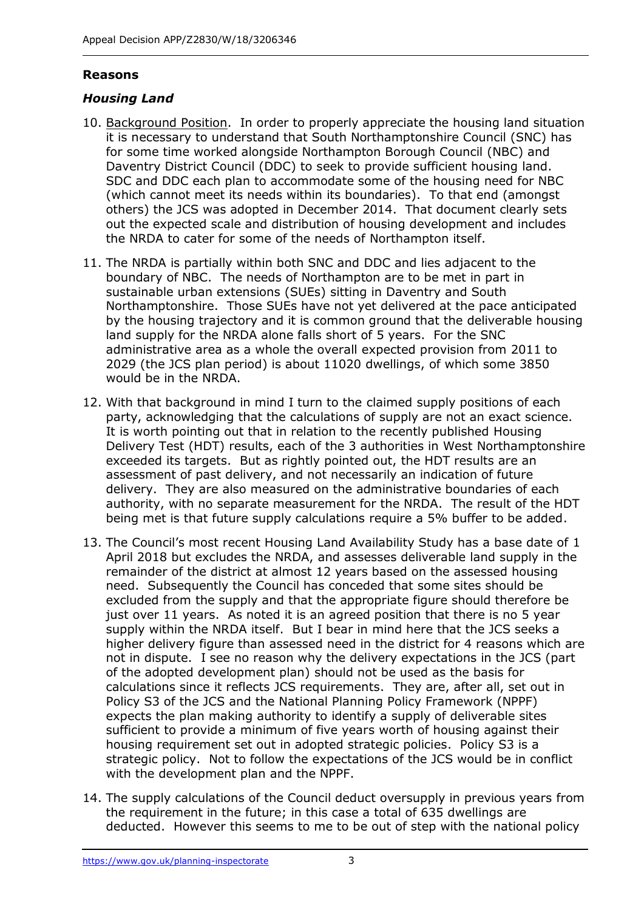# **Reasons**

# *Housing Land*

- 10. Background Position. In order to properly appreciate the housing land situation it is necessary to understand that South Northamptonshire Council (SNC) has for some time worked alongside Northampton Borough Council (NBC) and Daventry District Council (DDC) to seek to provide sufficient housing land. SDC and DDC each plan to accommodate some of the housing need for NBC (which cannot meet its needs within its boundaries). To that end (amongst others) the JCS was adopted in December 2014. That document clearly sets out the expected scale and distribution of housing development and includes the NRDA to cater for some of the needs of Northampton itself.
- 11. The NRDA is partially within both SNC and DDC and lies adjacent to the boundary of NBC. The needs of Northampton are to be met in part in sustainable urban extensions (SUEs) sitting in Daventry and South Northamptonshire. Those SUEs have not yet delivered at the pace anticipated by the housing trajectory and it is common ground that the deliverable housing land supply for the NRDA alone falls short of 5 years. For the SNC administrative area as a whole the overall expected provision from 2011 to 2029 (the JCS plan period) is about 11020 dwellings, of which some 3850 would be in the NRDA.
- 12. With that background in mind I turn to the claimed supply positions of each party, acknowledging that the calculations of supply are not an exact science. It is worth pointing out that in relation to the recently published Housing Delivery Test (HDT) results, each of the 3 authorities in West Northamptonshire exceeded its targets. But as rightly pointed out, the HDT results are an assessment of past delivery, and not necessarily an indication of future delivery. They are also measured on the administrative boundaries of each authority, with no separate measurement for the NRDA. The result of the HDT being met is that future supply calculations require a 5% buffer to be added.
- 13. The Council's most recent Housing Land Availability Study has a base date of 1 April 2018 but excludes the NRDA, and assesses deliverable land supply in the remainder of the district at almost 12 years based on the assessed housing need. Subsequently the Council has conceded that some sites should be excluded from the supply and that the appropriate figure should therefore be just over 11 years. As noted it is an agreed position that there is no 5 year supply within the NRDA itself. But I bear in mind here that the JCS seeks a higher delivery figure than assessed need in the district for 4 reasons which are not in dispute. I see no reason why the delivery expectations in the JCS (part of the adopted development plan) should not be used as the basis for calculations since it reflects JCS requirements. They are, after all, set out in Policy S3 of the JCS and the National Planning Policy Framework (NPPF) expects the plan making authority to identify a supply of deliverable sites sufficient to provide a minimum of five years worth of housing against their housing requirement set out in adopted strategic policies. Policy S3 is a strategic policy. Not to follow the expectations of the JCS would be in conflict with the development plan and the NPPF.
- 14. The supply calculations of the Council deduct oversupply in previous years from the requirement in the future; in this case a total of 635 dwellings are deducted. However this seems to me to be out of step with the national policy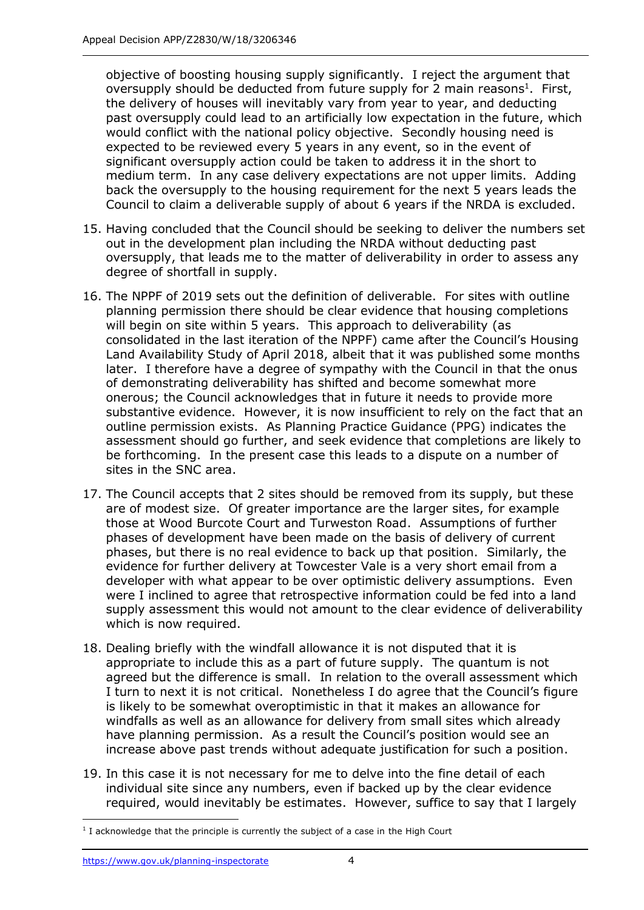objective of boosting housing supply significantly. I reject the argument that oversupply should be deducted from future supply for 2 main reasons<sup>1</sup>. First, the delivery of houses will inevitably vary from year to year, and deducting past oversupply could lead to an artificially low expectation in the future, which would conflict with the national policy objective. Secondly housing need is expected to be reviewed every 5 years in any event, so in the event of significant oversupply action could be taken to address it in the short to medium term. In any case delivery expectations are not upper limits. Adding back the oversupply to the housing requirement for the next 5 years leads the Council to claim a deliverable supply of about 6 years if the NRDA is excluded.

- 15. Having concluded that the Council should be seeking to deliver the numbers set out in the development plan including the NRDA without deducting past oversupply, that leads me to the matter of deliverability in order to assess any degree of shortfall in supply.
- 16. The NPPF of 2019 sets out the definition of deliverable. For sites with outline planning permission there should be clear evidence that housing completions will begin on site within 5 years. This approach to deliverability (as consolidated in the last iteration of the NPPF) came after the Council's Housing Land Availability Study of April 2018, albeit that it was published some months later. I therefore have a degree of sympathy with the Council in that the onus of demonstrating deliverability has shifted and become somewhat more onerous; the Council acknowledges that in future it needs to provide more substantive evidence. However, it is now insufficient to rely on the fact that an outline permission exists. As Planning Practice Guidance (PPG) indicates the assessment should go further, and seek evidence that completions are likely to be forthcoming. In the present case this leads to a dispute on a number of sites in the SNC area.
- 17. The Council accepts that 2 sites should be removed from its supply, but these are of modest size. Of greater importance are the larger sites, for example those at Wood Burcote Court and Turweston Road. Assumptions of further phases of development have been made on the basis of delivery of current phases, but there is no real evidence to back up that position. Similarly, the evidence for further delivery at Towcester Vale is a very short email from a developer with what appear to be over optimistic delivery assumptions. Even were I inclined to agree that retrospective information could be fed into a land supply assessment this would not amount to the clear evidence of deliverability which is now required.
- 18. Dealing briefly with the windfall allowance it is not disputed that it is appropriate to include this as a part of future supply. The quantum is not agreed but the difference is small. In relation to the overall assessment which I turn to next it is not critical. Nonetheless I do agree that the Council's figure is likely to be somewhat overoptimistic in that it makes an allowance for windfalls as well as an allowance for delivery from small sites which already have planning permission. As a result the Council's position would see an increase above past trends without adequate justification for such a position.
- 19. In this case it is not necessary for me to delve into the fine detail of each individual site since any numbers, even if backed up by the clear evidence required, would inevitably be estimates. However, suffice to say that I largely

j  $<sup>1</sup>$  I acknowledge that the principle is currently the subject of a case in the High Court</sup>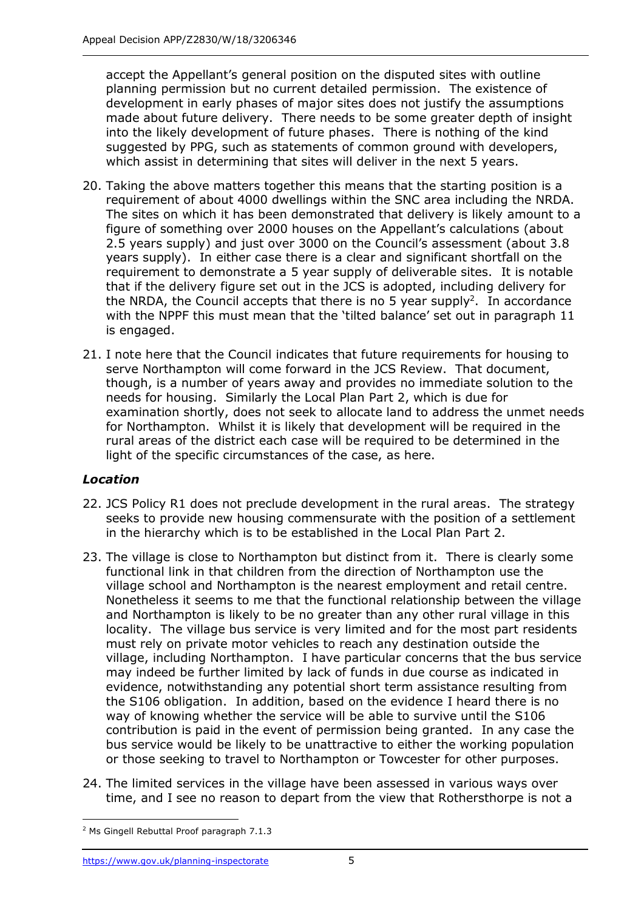accept the Appellant's general position on the disputed sites with outline planning permission but no current detailed permission. The existence of development in early phases of major sites does not justify the assumptions made about future delivery. There needs to be some greater depth of insight into the likely development of future phases. There is nothing of the kind suggested by PPG, such as statements of common ground with developers, which assist in determining that sites will deliver in the next 5 years.

- 20. Taking the above matters together this means that the starting position is a requirement of about 4000 dwellings within the SNC area including the NRDA. The sites on which it has been demonstrated that delivery is likely amount to a figure of something over 2000 houses on the Appellant's calculations (about 2.5 years supply) and just over 3000 on the Council's assessment (about 3.8 years supply). In either case there is a clear and significant shortfall on the requirement to demonstrate a 5 year supply of deliverable sites. It is notable that if the delivery figure set out in the JCS is adopted, including delivery for the NRDA, the Council accepts that there is no 5 year supply<sup>2</sup>. In accordance with the NPPF this must mean that the 'tilted balance' set out in paragraph 11 is engaged.
- 21. I note here that the Council indicates that future requirements for housing to serve Northampton will come forward in the JCS Review. That document, though, is a number of years away and provides no immediate solution to the needs for housing. Similarly the Local Plan Part 2, which is due for examination shortly, does not seek to allocate land to address the unmet needs for Northampton. Whilst it is likely that development will be required in the rural areas of the district each case will be required to be determined in the light of the specific circumstances of the case, as here.

# *Location*

- 22. JCS Policy R1 does not preclude development in the rural areas. The strategy seeks to provide new housing commensurate with the position of a settlement in the hierarchy which is to be established in the Local Plan Part 2.
- 23. The village is close to Northampton but distinct from it. There is clearly some functional link in that children from the direction of Northampton use the village school and Northampton is the nearest employment and retail centre. Nonetheless it seems to me that the functional relationship between the village and Northampton is likely to be no greater than any other rural village in this locality. The village bus service is very limited and for the most part residents must rely on private motor vehicles to reach any destination outside the village, including Northampton. I have particular concerns that the bus service may indeed be further limited by lack of funds in due course as indicated in evidence, notwithstanding any potential short term assistance resulting from the S106 obligation. In addition, based on the evidence I heard there is no way of knowing whether the service will be able to survive until the S106 contribution is paid in the event of permission being granted. In any case the bus service would be likely to be unattractive to either the working population or those seeking to travel to Northampton or Towcester for other purposes.
- 24. The limited services in the village have been assessed in various ways over time, and I see no reason to depart from the view that Rothersthorpe is not a

j <sup>2</sup> Ms Gingell Rebuttal Proof paragraph 7.1.3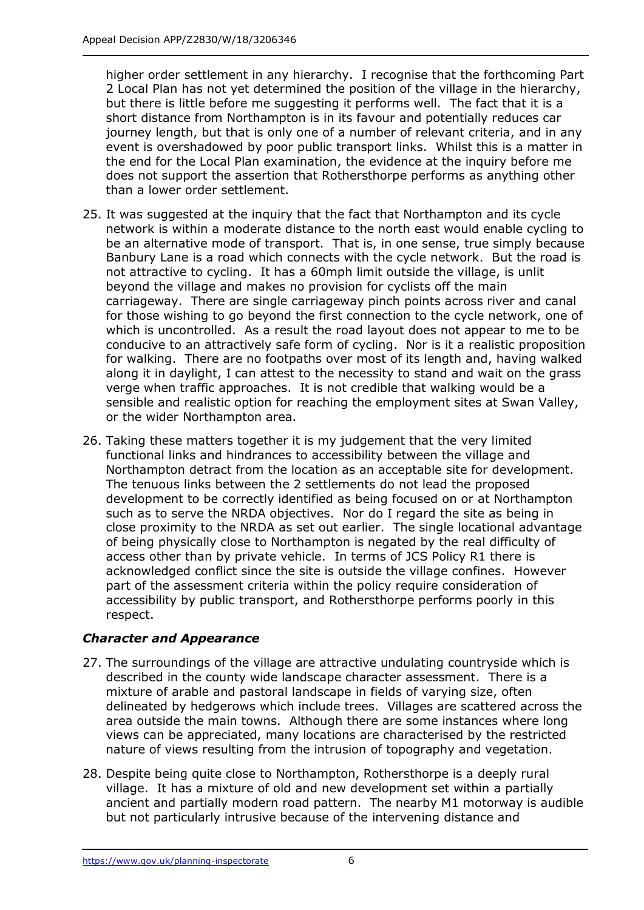higher order settlement in any hierarchy. I recognise that the forthcoming Part 2 Local Plan has not yet determined the position of the village in the hierarchy, but there is little before me suggesting it performs well. The fact that it is a short distance from Northampton is in its favour and potentially reduces car journey length, but that is only one of a number of relevant criteria, and in any event is overshadowed by poor public transport links. Whilst this is a matter in the end for the Local Plan examination, the evidence at the inquiry before me does not support the assertion that Rothersthorpe performs as anything other than a lower order settlement.

- 25. It was suggested at the inquiry that the fact that Northampton and its cycle network is within a moderate distance to the north east would enable cycling to be an alternative mode of transport. That is, in one sense, true simply because Banbury Lane is a road which connects with the cycle network. But the road is not attractive to cycling. It has a 60mph limit outside the village, is unlit beyond the village and makes no provision for cyclists off the main carriageway. There are single carriageway pinch points across river and canal for those wishing to go beyond the first connection to the cycle network, one of which is uncontrolled. As a result the road layout does not appear to me to be conducive to an attractively safe form of cycling. Nor is it a realistic proposition for walking. There are no footpaths over most of its length and, having walked along it in daylight, I can attest to the necessity to stand and wait on the grass verge when traffic approaches. It is not credible that walking would be a sensible and realistic option for reaching the employment sites at Swan Valley, or the wider Northampton area.
- 26. Taking these matters together it is my judgement that the very limited functional links and hindrances to accessibility between the village and Northampton detract from the location as an acceptable site for development. The tenuous links between the 2 settlements do not lead the proposed development to be correctly identified as being focused on or at Northampton such as to serve the NRDA objectives. Nor do I regard the site as being in close proximity to the NRDA as set out earlier. The single locational advantage of being physically close to Northampton is negated by the real difficulty of access other than by private vehicle. In terms of JCS Policy R1 there is acknowledged conflict since the site is outside the village confines. However part of the assessment criteria within the policy require consideration of accessibility by public transport, and Rothersthorpe performs poorly in this respect.

# *Character and Appearance*

- 27. The surroundings of the village are attractive undulating countryside which is described in the county wide landscape character assessment. There is a mixture of arable and pastoral landscape in fields of varying size, often delineated by hedgerows which include trees. Villages are scattered across the area outside the main towns. Although there are some instances where long views can be appreciated, many locations are characterised by the restricted nature of views resulting from the intrusion of topography and vegetation.
- 28. Despite being quite close to Northampton, Rothersthorpe is a deeply rural village. It has a mixture of old and new development set within a partially ancient and partially modern road pattern. The nearby M1 motorway is audible but not particularly intrusive because of the intervening distance and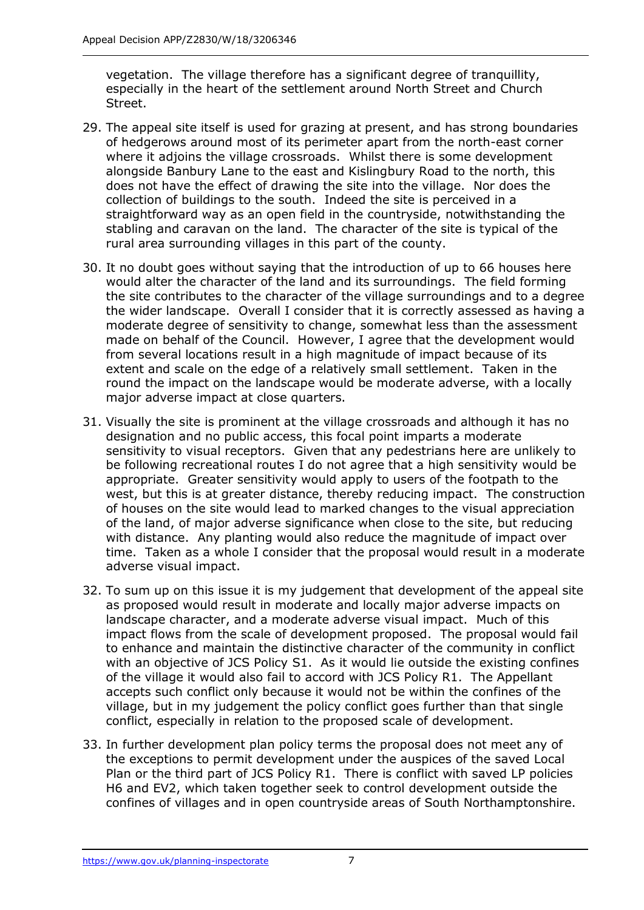vegetation. The village therefore has a significant degree of tranquillity, especially in the heart of the settlement around North Street and Church Street.

- 29. The appeal site itself is used for grazing at present, and has strong boundaries of hedgerows around most of its perimeter apart from the north-east corner where it adjoins the village crossroads. Whilst there is some development alongside Banbury Lane to the east and Kislingbury Road to the north, this does not have the effect of drawing the site into the village. Nor does the collection of buildings to the south. Indeed the site is perceived in a straightforward way as an open field in the countryside, notwithstanding the stabling and caravan on the land. The character of the site is typical of the rural area surrounding villages in this part of the county.
- 30. It no doubt goes without saying that the introduction of up to 66 houses here would alter the character of the land and its surroundings. The field forming the site contributes to the character of the village surroundings and to a degree the wider landscape. Overall I consider that it is correctly assessed as having a moderate degree of sensitivity to change, somewhat less than the assessment made on behalf of the Council. However, I agree that the development would from several locations result in a high magnitude of impact because of its extent and scale on the edge of a relatively small settlement. Taken in the round the impact on the landscape would be moderate adverse, with a locally major adverse impact at close quarters.
- 31. Visually the site is prominent at the village crossroads and although it has no designation and no public access, this focal point imparts a moderate sensitivity to visual receptors. Given that any pedestrians here are unlikely to be following recreational routes I do not agree that a high sensitivity would be appropriate. Greater sensitivity would apply to users of the footpath to the west, but this is at greater distance, thereby reducing impact. The construction of houses on the site would lead to marked changes to the visual appreciation of the land, of major adverse significance when close to the site, but reducing with distance. Any planting would also reduce the magnitude of impact over time. Taken as a whole I consider that the proposal would result in a moderate adverse visual impact.
- 32. To sum up on this issue it is my judgement that development of the appeal site as proposed would result in moderate and locally major adverse impacts on landscape character, and a moderate adverse visual impact. Much of this impact flows from the scale of development proposed. The proposal would fail to enhance and maintain the distinctive character of the community in conflict with an objective of JCS Policy S1. As it would lie outside the existing confines of the village it would also fail to accord with JCS Policy R1. The Appellant accepts such conflict only because it would not be within the confines of the village, but in my judgement the policy conflict goes further than that single conflict, especially in relation to the proposed scale of development.
- 33. In further development plan policy terms the proposal does not meet any of the exceptions to permit development under the auspices of the saved Local Plan or the third part of JCS Policy R1. There is conflict with saved LP policies H6 and EV2, which taken together seek to control development outside the confines of villages and in open countryside areas of South Northamptonshire.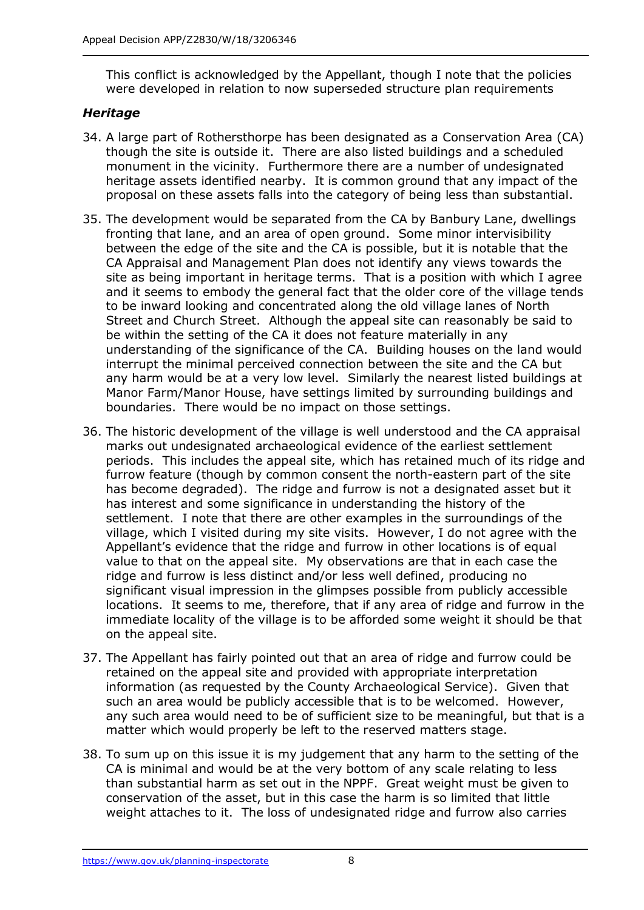This conflict is acknowledged by the Appellant, though I note that the policies were developed in relation to now superseded structure plan requirements

# *Heritage*

- 34. A large part of Rothersthorpe has been designated as a Conservation Area (CA) though the site is outside it. There are also listed buildings and a scheduled monument in the vicinity. Furthermore there are a number of undesignated heritage assets identified nearby. It is common ground that any impact of the proposal on these assets falls into the category of being less than substantial.
- 35. The development would be separated from the CA by Banbury Lane, dwellings fronting that lane, and an area of open ground. Some minor intervisibility between the edge of the site and the CA is possible, but it is notable that the CA Appraisal and Management Plan does not identify any views towards the site as being important in heritage terms. That is a position with which I agree and it seems to embody the general fact that the older core of the village tends to be inward looking and concentrated along the old village lanes of North Street and Church Street. Although the appeal site can reasonably be said to be within the setting of the CA it does not feature materially in any understanding of the significance of the CA. Building houses on the land would interrupt the minimal perceived connection between the site and the CA but any harm would be at a very low level. Similarly the nearest listed buildings at Manor Farm/Manor House, have settings limited by surrounding buildings and boundaries. There would be no impact on those settings.
- 36. The historic development of the village is well understood and the CA appraisal marks out undesignated archaeological evidence of the earliest settlement periods. This includes the appeal site, which has retained much of its ridge and furrow feature (though by common consent the north-eastern part of the site has become degraded). The ridge and furrow is not a designated asset but it has interest and some significance in understanding the history of the settlement. I note that there are other examples in the surroundings of the village, which I visited during my site visits. However, I do not agree with the Appellant's evidence that the ridge and furrow in other locations is of equal value to that on the appeal site. My observations are that in each case the ridge and furrow is less distinct and/or less well defined, producing no significant visual impression in the glimpses possible from publicly accessible locations. It seems to me, therefore, that if any area of ridge and furrow in the immediate locality of the village is to be afforded some weight it should be that on the appeal site.
- 37. The Appellant has fairly pointed out that an area of ridge and furrow could be retained on the appeal site and provided with appropriate interpretation information (as requested by the County Archaeological Service). Given that such an area would be publicly accessible that is to be welcomed. However, any such area would need to be of sufficient size to be meaningful, but that is a matter which would properly be left to the reserved matters stage.
- 38. To sum up on this issue it is my judgement that any harm to the setting of the CA is minimal and would be at the very bottom of any scale relating to less than substantial harm as set out in the NPPF. Great weight must be given to conservation of the asset, but in this case the harm is so limited that little weight attaches to it. The loss of undesignated ridge and furrow also carries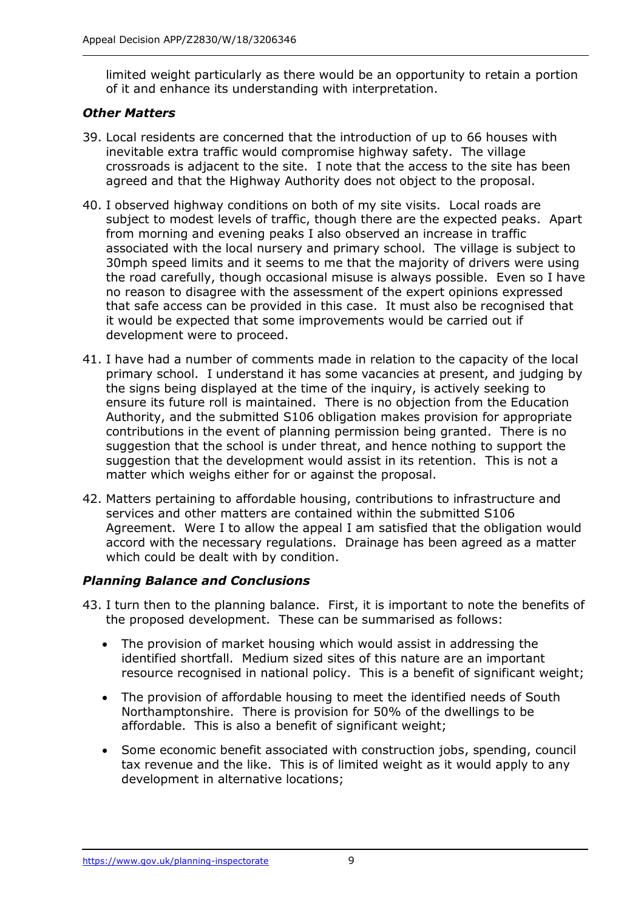limited weight particularly as there would be an opportunity to retain a portion of it and enhance its understanding with interpretation.

## *Other Matters*

- 39. Local residents are concerned that the introduction of up to 66 houses with inevitable extra traffic would compromise highway safety. The village crossroads is adjacent to the site. I note that the access to the site has been agreed and that the Highway Authority does not object to the proposal.
- 40. I observed highway conditions on both of my site visits. Local roads are subject to modest levels of traffic, though there are the expected peaks. Apart from morning and evening peaks I also observed an increase in traffic associated with the local nursery and primary school. The village is subject to 30mph speed limits and it seems to me that the majority of drivers were using the road carefully, though occasional misuse is always possible. Even so I have no reason to disagree with the assessment of the expert opinions expressed that safe access can be provided in this case. It must also be recognised that it would be expected that some improvements would be carried out if development were to proceed.
- 41. I have had a number of comments made in relation to the capacity of the local primary school. I understand it has some vacancies at present, and judging by the signs being displayed at the time of the inquiry, is actively seeking to ensure its future roll is maintained. There is no objection from the Education Authority, and the submitted S106 obligation makes provision for appropriate contributions in the event of planning permission being granted. There is no suggestion that the school is under threat, and hence nothing to support the suggestion that the development would assist in its retention. This is not a matter which weighs either for or against the proposal.
- 42. Matters pertaining to affordable housing, contributions to infrastructure and services and other matters are contained within the submitted S106 Agreement. Were I to allow the appeal I am satisfied that the obligation would accord with the necessary regulations. Drainage has been agreed as a matter which could be dealt with by condition.

# *Planning Balance and Conclusions*

- 43. I turn then to the planning balance. First, it is important to note the benefits of the proposed development. These can be summarised as follows:
	- The provision of market housing which would assist in addressing the identified shortfall. Medium sized sites of this nature are an important resource recognised in national policy. This is a benefit of significant weight;
	- The provision of affordable housing to meet the identified needs of South Northamptonshire. There is provision for 50% of the dwellings to be affordable. This is also a benefit of significant weight;
	- Some economic benefit associated with construction jobs, spending, council tax revenue and the like. This is of limited weight as it would apply to any development in alternative locations;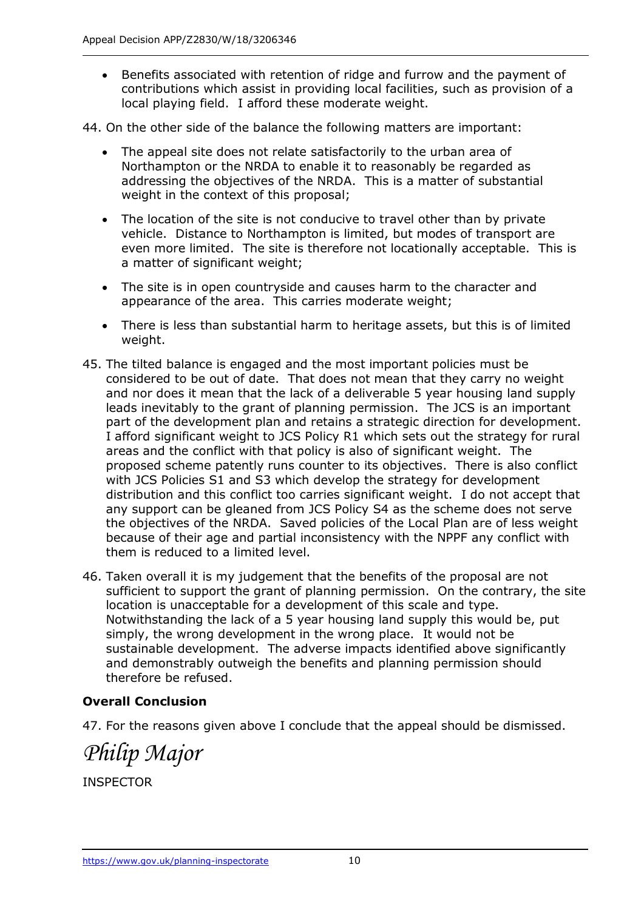- Benefits associated with retention of ridge and furrow and the payment of contributions which assist in providing local facilities, such as provision of a local playing field. I afford these moderate weight.
- 44. On the other side of the balance the following matters are important:
	- The appeal site does not relate satisfactorily to the urban area of Northampton or the NRDA to enable it to reasonably be regarded as addressing the objectives of the NRDA. This is a matter of substantial weight in the context of this proposal;
	- The location of the site is not conducive to travel other than by private vehicle. Distance to Northampton is limited, but modes of transport are even more limited. The site is therefore not locationally acceptable. This is a matter of significant weight;
	- The site is in open countryside and causes harm to the character and appearance of the area. This carries moderate weight;
	- There is less than substantial harm to heritage assets, but this is of limited weight.
- 45. The tilted balance is engaged and the most important policies must be considered to be out of date. That does not mean that they carry no weight and nor does it mean that the lack of a deliverable 5 year housing land supply leads inevitably to the grant of planning permission. The JCS is an important part of the development plan and retains a strategic direction for development. I afford significant weight to JCS Policy R1 which sets out the strategy for rural areas and the conflict with that policy is also of significant weight. The proposed scheme patently runs counter to its objectives. There is also conflict with JCS Policies S1 and S3 which develop the strategy for development distribution and this conflict too carries significant weight. I do not accept that any support can be gleaned from JCS Policy S4 as the scheme does not serve the objectives of the NRDA. Saved policies of the Local Plan are of less weight because of their age and partial inconsistency with the NPPF any conflict with them is reduced to a limited level.
- 46. Taken overall it is my judgement that the benefits of the proposal are not sufficient to support the grant of planning permission. On the contrary, the site location is unacceptable for a development of this scale and type. Notwithstanding the lack of a 5 year housing land supply this would be, put simply, the wrong development in the wrong place. It would not be sustainable development. The adverse impacts identified above significantly and demonstrably outweigh the benefits and planning permission should therefore be refused.

# **Overall Conclusion**

47. For the reasons given above I conclude that the appeal should be dismissed.

*Philip Major*

INSPECTOR